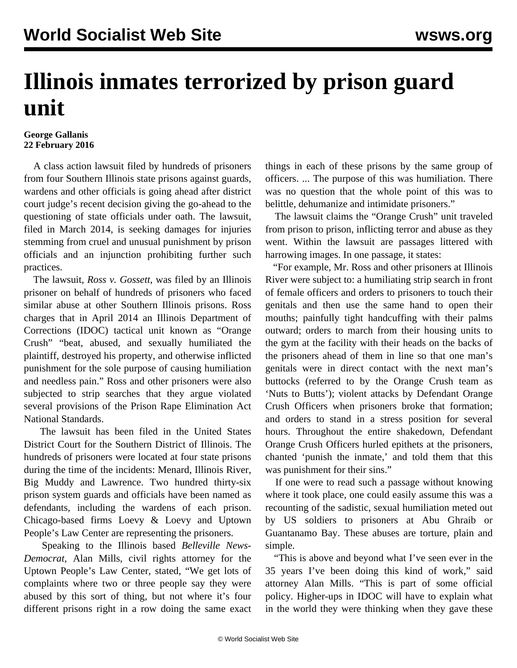## **Illinois inmates terrorized by prison guard unit**

## **George Gallanis 22 February 2016**

 A class action lawsuit filed by hundreds of prisoners from four Southern Illinois state prisons against guards, wardens and other officials is going ahead after district court judge's recent decision giving the go-ahead to the questioning of state officials under oath. The lawsuit, filed in March 2014, is seeking damages for injuries stemming from cruel and unusual punishment by prison officials and an injunction prohibiting further such practices.

 The lawsuit, *Ross v. Gossett*, was filed by an Illinois prisoner on behalf of hundreds of prisoners who faced similar abuse at other Southern Illinois prisons. Ross charges that in April 2014 an Illinois Department of Corrections (IDOC) tactical unit known as "Orange Crush" "beat, abused, and sexually humiliated the plaintiff, destroyed his property, and otherwise inflicted punishment for the sole purpose of causing humiliation and needless pain." Ross and other prisoners were also subjected to strip searches that they argue violated several provisions of the Prison Rape Elimination Act National Standards.

 The lawsuit has been filed in the United States District Court for the Southern District of Illinois. The hundreds of prisoners were located at four state prisons during the time of the incidents: Menard, Illinois River, Big Muddy and Lawrence. Two hundred thirty-six prison system guards and officials have been named as defendants, including the wardens of each prison. Chicago-based firms Loevy & Loevy and Uptown People's Law Center are representing the prisoners.

 Speaking to the Illinois based *Belleville News-Democrat*, Alan Mills, civil rights attorney for the Uptown People's Law Center, stated, "We get lots of complaints where two or three people say they were abused by this sort of thing, but not where it's four different prisons right in a row doing the same exact things in each of these prisons by the same group of officers. ... The purpose of this was humiliation. There was no question that the whole point of this was to belittle, dehumanize and intimidate prisoners."

 The lawsuit claims the "Orange Crush" unit traveled from prison to prison, inflicting terror and abuse as they went. Within the lawsuit are passages littered with harrowing images. In one passage, it states:

 "For example, Mr. Ross and other prisoners at Illinois River were subject to: a humiliating strip search in front of female officers and orders to prisoners to touch their genitals and then use the same hand to open their mouths; painfully tight handcuffing with their palms outward; orders to march from their housing units to the gym at the facility with their heads on the backs of the prisoners ahead of them in line so that one man's genitals were in direct contact with the next man's buttocks (referred to by the Orange Crush team as 'Nuts to Butts'); violent attacks by Defendant Orange Crush Officers when prisoners broke that formation; and orders to stand in a stress position for several hours. Throughout the entire shakedown, Defendant Orange Crush Officers hurled epithets at the prisoners, chanted 'punish the inmate,' and told them that this was punishment for their sins."

 If one were to read such a passage without knowing where it took place, one could easily assume this was a recounting of the sadistic, sexual humiliation meted out by US soldiers to prisoners at Abu Ghraib or Guantanamo Bay. These abuses are torture, plain and simple.

 "This is above and beyond what I've seen ever in the 35 years I've been doing this kind of work," said attorney Alan Mills. "This is part of some official policy. Higher-ups in IDOC will have to explain what in the world they were thinking when they gave these